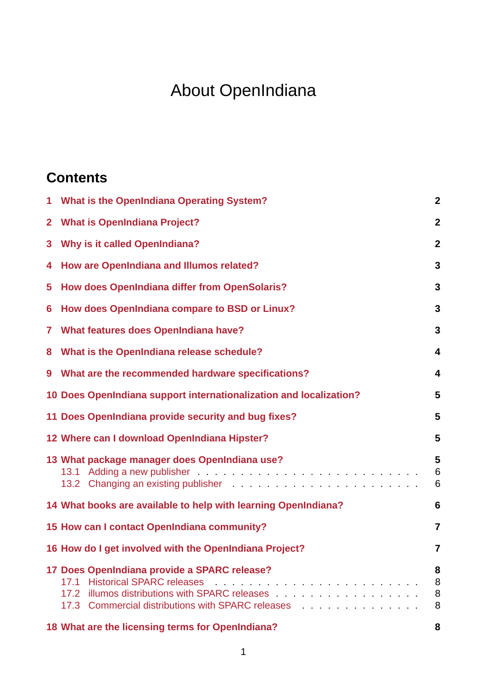# About OpenIndiana

### **Contents**

| $\mathbf{1}$   | What is the OpenIndiana Operating System?                                                                 | $\overline{2}$          |
|----------------|-----------------------------------------------------------------------------------------------------------|-------------------------|
| $\overline{2}$ | <b>What is OpenIndiana Project?</b>                                                                       | $\overline{2}$          |
| 3              | <b>Why is it called OpenIndiana?</b>                                                                      | $\overline{2}$          |
| 4              | <b>How are OpenIndiana and Illumos related?</b>                                                           | 3                       |
| 5              | How does OpenIndiana differ from OpenSolaris?                                                             | 3                       |
| 6              | How does OpenIndiana compare to BSD or Linux?                                                             | 3                       |
| 7              | <b>What features does OpenIndiana have?</b>                                                               | 3                       |
| 8              | What is the OpenIndiana release schedule?                                                                 | $\overline{\mathbf{4}}$ |
| 9              | What are the recommended hardware specifications?                                                         | 4                       |
|                | 10 Does OpenIndiana support internationalization and localization?                                        | 5                       |
|                | 11 Does OpenIndiana provide security and bug fixes?                                                       | 5                       |
|                | 12 Where can I download OpenIndiana Hipster?                                                              | 5                       |
|                | 13 What package manager does OpenIndiana use?                                                             | 5<br>6<br>6             |
|                | 14 What books are available to help with learning OpenIndiana?                                            | 6                       |
|                | 15 How can I contact OpenIndiana community?                                                               | $\overline{\mathbf{7}}$ |
|                | 16 How do I get involved with the OpenIndiana Project?                                                    | 7                       |
|                | 17 Does OpenIndiana provide a SPARC release?<br>17.2<br>17.3 Commercial distributions with SPARC releases | 8<br>8<br>8<br>8        |
|                |                                                                                                           |                         |

**18 [What are the licensing terms f](#page-7-1)[or OpenIndiana](#page-7-2)? 8**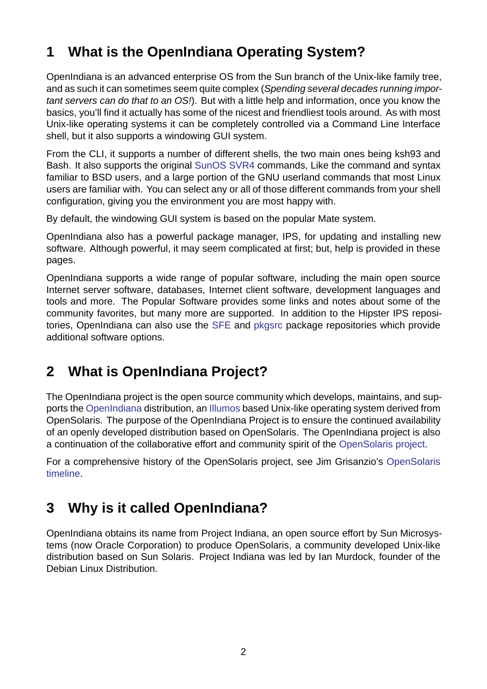# **1 What is the OpenIndiana Operating System?**

<span id="page-1-0"></span>OpenIndiana is an advanced enterprise OS from the Sun branch of the Unix-like family tree, and as such it can sometimes seem quite complex (*Spending several decades running important servers can do that to an OS!*). But with a little help and information, once you know the basics, you'll find it actually has some of the nicest and friendliest tools around. As with most Unix-like operating systems it can be completely controlled via a Command Line Interface shell, but it also supports a windowing GUI system.

From the CLI, it supports a number of different shells, the two main ones being ksh93 and Bash. It also supports the original SunOS SVR4 commands, Like the command and syntax familiar to BSD users, and a large portion of the GNU userland commands that most Linux users are familiar with. You can select any or all of those different commands from your shell configuration, giving you the envir[onment](http://en.wikipedia.org/wiki/SunOS) [you ar](http://en.wikipedia.org/wiki/SVR4#SVR4)e most happy with.

By default, the windowing GUI system is based on the popular Mate system.

OpenIndiana also has a powerful package manager, IPS, for updating and installing new software. Although powerful, it may seem complicated at first; but, help is provided in these pages.

OpenIndiana supports a wide range of popular software, including the main open source Internet server software, databases, Internet client software, development languages and tools and more. The Popular Software provides some links and notes about some of the community favorites, but many more are supported. In addition to the Hipster IPS repositories, OpenIndiana can also use the SFE and pkgsrc package repositories which provide additional software options.

# **2 What is OpenIndiana [Pro](http://sfe.opencsw.org/)je[ct?](https://pkgsrc.joyent.com/)**

<span id="page-1-1"></span>The OpenIndiana project is the open source community which develops, maintains, and supports the OpenIndiana distribution, an Illumos based Unix-like operating system derived from OpenSolaris. The purpose of the OpenIndiana Project is to ensure the continued availability of an openly developed distribution based on OpenSolaris. The OpenIndiana project is also a contin[uation of the co](https://en.wikipedia.org/wiki/OpenIndiana)llaborative eff[ort and c](https://en.wikipedia.org/wiki/Illumos)ommunity spirit of the OpenSolaris project.

For a comprehensive history of the OpenSolaris project, see Jim Grisanzio's OpenSolaris timeline.

# **[3 W](https://jimgrisanzio.wordpress.com/opensolaris/)hy is it called OpenIndiana?**

<span id="page-1-2"></span>OpenIndiana obtains its name from Project Indiana, an open source effort by Sun Microsystems (now Oracle Corporation) to produce OpenSolaris, a community developed Unix-like distribution based on Sun Solaris. Project Indiana was led by Ian Murdock, founder of the Debian Linux Distribution.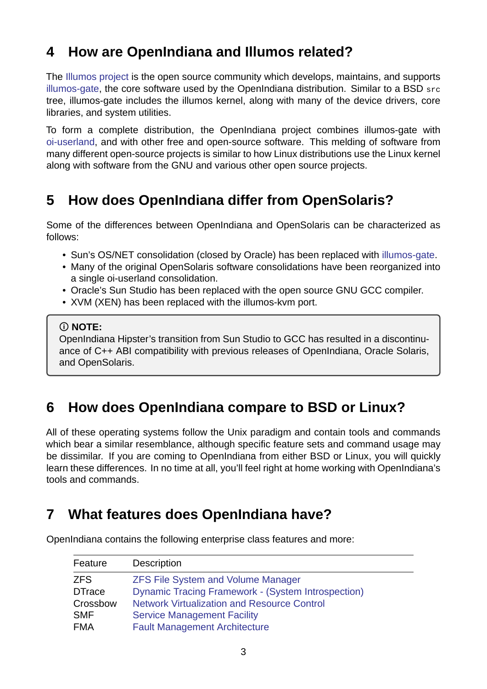### **4 How are OpenIndiana and Illumos related?**

<span id="page-2-0"></span>The Illumos project is the open source community which develops, maintains, and supports illumos-gate, the core software used by the OpenIndiana distribution. Similar to a BSD src tree, illumos-gate includes the illumos kernel, along with many of the device drivers, core libra[ries, and system](https://illumos.org) utilities.

[To form a c](https://github.com/illumos/illumos-gate)omplete distribution, the OpenIndiana project combines illumos-gate with oi-userland, and with other free and open-source software. This melding of software from many different open-source projects is similar to how Linux distributions use the Linux kernel along with software from the GNU and various other open source projects.

### **5 How does OpenIndiana differ from OpenSolaris?**

<span id="page-2-1"></span>Some of the differences between OpenIndiana and OpenSolaris can be characterized as follows:

- Sun's OS/NET consolidation (closed by Oracle) has been replaced with illumos-gate.
- Many of the original OpenSolaris software consolidations have been reorganized into a single oi-userland consolidation.
- Oracle's Sun Studio has been replaced with the open source GNU GC[C compiler.](https://github.com/OpenIndiana/illumos-gate)
- XVM (XEN) has been replaced with the illumos-kvm port.

#### **NOTE:**

OpenIndiana Hipster's transition from Sun Studio to GCC has resulted in a discontinuance of C++ ABI compatibility with previous releases of OpenIndiana, Oracle Solaris, and OpenSolaris.

### **6 How does OpenIndiana compare to BSD or Linux?**

<span id="page-2-2"></span>All of these operating systems follow the Unix paradigm and contain tools and commands which bear a similar resemblance, although specific feature sets and command usage may be dissimilar. If you are coming to OpenIndiana from either BSD or Linux, you will quickly learn these differences. In no time at all, you'll feel right at home working with OpenIndiana's tools and commands.

# **7 What features does OpenIndiana have?**

| Feature       | <b>Description</b>                                        |
|---------------|-----------------------------------------------------------|
| <b>ZFS</b>    | <b>ZFS File System and Volume Manager</b>                 |
| <b>DTrace</b> | <b>Dynamic Tracing Framework - (System Introspection)</b> |
| Crossbow      | <b>Network Virtualization and Resource Control</b>        |
| <b>SMF</b>    | <b>Service Management Facility</b>                        |
| <b>FMA</b>    | <b>Fault Management Architecture</b>                      |

<span id="page-2-3"></span>OpenIndiana contains the following enterprise class features and more: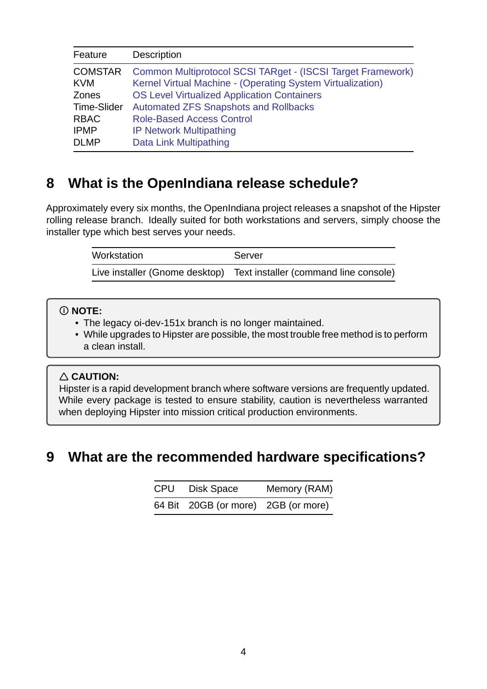| Feature                      | Description                                                                                                               |
|------------------------------|---------------------------------------------------------------------------------------------------------------------------|
| <b>COMSTAR</b><br><b>KVM</b> | Common Multiprotocol SCSI TARget - (ISCSI Target Framework)<br>Kernel Virtual Machine - (Operating System Virtualization) |
| Zones                        | <b>OS Level Virtualized Application Containers</b>                                                                        |
| <b>Time-Slider</b>           | <b>Automated ZFS Snapshots and Rollbacks</b>                                                                              |
| <b>RBAC</b>                  | <b>Role-Based Access Control</b>                                                                                          |
| <b>IPMP</b>                  | <b>IP Network Multipathing</b>                                                                                            |
| <b>DLMP</b>                  | Data Link Multipathing                                                                                                    |

### **8 What is t[he OpenIndiana](http://www.c0t0d0s0.org/2013-03-21/less-known-solaris-features-data-link-multipathing.c0t0d0s0) release schedule?**

<span id="page-3-0"></span>Approximately every six months, the OpenIndiana project releases a snapshot of the Hipster rolling release branch. Ideally suited for both workstations and servers, simply choose the installer type which best serves your needs.

| Workstation | Server                                                               |
|-------------|----------------------------------------------------------------------|
|             | Live installer (Gnome desktop) Text installer (command line console) |

#### **NOTE:**

- The legacy oi-dev-151x branch is no longer maintained.
- While upgrades to Hipster are possible, the most trouble free method is to perform a clean install.

#### **CAUTION:**

Hipster is a rapid development branch where software versions are frequently updated. While every package is tested to ensure stability, caution is nevertheless warranted when deploying Hipster into mission critical production environments.

# <span id="page-3-1"></span>**9 What are the recommended hardware specifications?**

| CPU | Disk Space                          | Memory (RAM) |
|-----|-------------------------------------|--------------|
|     | 64 Bit 20GB (or more) 2GB (or more) |              |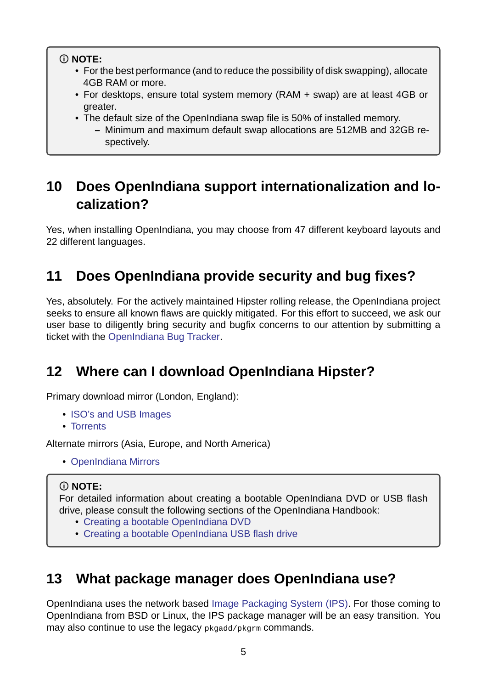#### **NOTE:**

- For the best performance (and to reduce the possibility of disk swapping), allocate 4GB RAM or more.
- For desktops, ensure total system memory (RAM + swap) are at least 4GB or greater.
- The default size of the OpenIndiana swap file is 50% of installed memory.
	- **–** Minimum and maximum default swap allocations are 512MB and 32GB respectively.

# **10 Does OpenIndiana support internationalization and localization?**

<span id="page-4-0"></span>Yes, when installing OpenIndiana, you may choose from 47 different keyboard layouts and 22 different languages.

# **11 Does OpenIndiana provide security and bug fixes?**

<span id="page-4-1"></span>Yes, absolutely. For the actively maintained Hipster rolling release, the OpenIndiana project seeks to ensure all known flaws are quickly mitigated. For this effort to succeed, we ask our user base to diligently bring security and bugfix concerns to our attention by submitting a ticket with the OpenIndiana Bug Tracker.

# **12 Whe[re can I download](https://www.illumos.org/projects/openindiana/issues) OpenIndiana Hipster?**

<span id="page-4-2"></span>Primary download mirror (London, England):

- ISO's and USB Images
- Torrents

Alternate mirrors (Asia, Europe, and North America)

• [OpenInd](http://dlc.openindiana.org/torrents)[iana Mirrors](http://dlc.openindiana.org/isos/hipster)

### **NOTE:**

Fo[r detailed information](../handbook/openindiana-download-mirrors.md) about creating a bootable OpenIndiana DVD or USB flash drive, please consult the following sections of the OpenIndiana Handbook:

- Creating a bootable OpenIndiana DVD
- Creating a bootable OpenIndiana USB flash drive

# **13 [What package manager does Ope](../handbook/getting-started.md#creating-a-bootable-openindiana-usb-flash-drive)nIndiana use?**

<span id="page-4-3"></span>OpenIndiana uses the network based Image Packaging System (IPS). For those coming to OpenIndiana from BSD or Linux, the IPS package manager will be an easy transition. You may also continue to use the legacy pkgadd/pkgrm commands.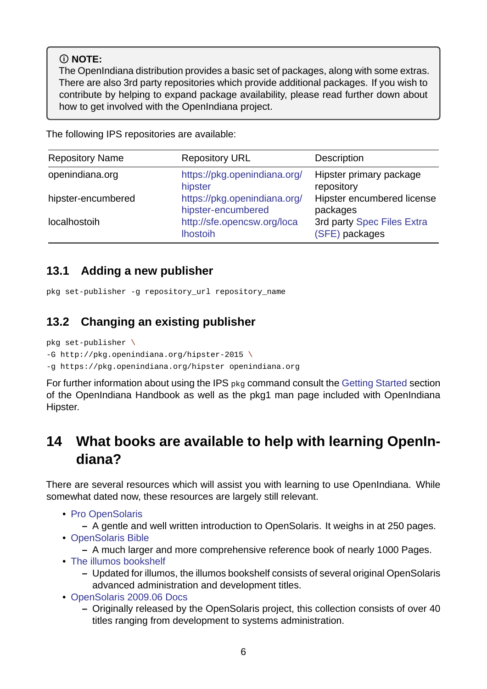### **NOTE:**

The OpenIndiana distribution provides a basic set of packages, along with some extras. There are also 3rd party repositories which provide additional packages. If you wish to contribute by helping to expand package availability, please read further down about how to get involved with the OpenIndiana project.

The following IPS repositories are available:

| <b>Repository Name</b> | <b>Repository URL</b>                              | Description                                  |
|------------------------|----------------------------------------------------|----------------------------------------------|
| openindiana.org        | https://pkg.openindiana.org/<br>hipster            | Hipster primary package<br>repository        |
| hipster-encumbered     | https://pkg.openindiana.org/<br>hipster-encumbered | Hipster encumbered license<br>packages       |
| localhostoih           | http://sfe.opencsw.org/loca<br><b>Ihostoih</b>     | 3rd party Spec Files Extra<br>(SFE) packages |

### **13.1 Adding a new pu[blisher](http://sfe.opencsw.org/localhostoih)**

```
pkg set-publisher -g repository_url repository_name
```
### **13.2 Changing an existing publisher**

pkg set-publisher  $\setminus$ 

<span id="page-5-1"></span> $-G$  http://pkq.openindiana.org/hipster-2015 \

g https://pkg.openindiana.org/hipster openindiana.org

For further information about using the IPS pkg command consult the Getting Started section of the OpenIndiana Handbook as well as the pkg1 man page included with OpenIndiana Hipster.

### **14 What books are available to help with learning OpenIndiana?**

<span id="page-5-2"></span>There are several resources which will assist you with learning to use OpenIndiana. While somewhat dated now, these resources are largely still relevant.

- Pro OpenSolaris
	- **–** A gentle and well written introduction to OpenSolaris. It weighs in at 250 pages.
- OpenSolaris Bible
	- **–** [A much larg](http://www.bookfinder.com/search/?keywords=1430218916&new=&used=&ebooks=&classic=&lang=en&st=sh&ac=qr&submit=)er and more comprehensive reference book of nearly 1000 Pages.
- The illumos bookshelf
	- **–** [Updated for il](http://www.bookfinder.com/search/?keywords=0470385480&new=&used=&ebooks=&classic=&lang=en&st=sh&ac=qr&submit=)lumos, the illumos bookshelf consists of several original OpenSolaris advanced administration and development titles.
- [OpenSolaris 2009.06](https://illumos.org/books/) Docs
	- **–** Originally released by the OpenSolaris project, this collection consists of over 40 titles ranging from development to systems administration.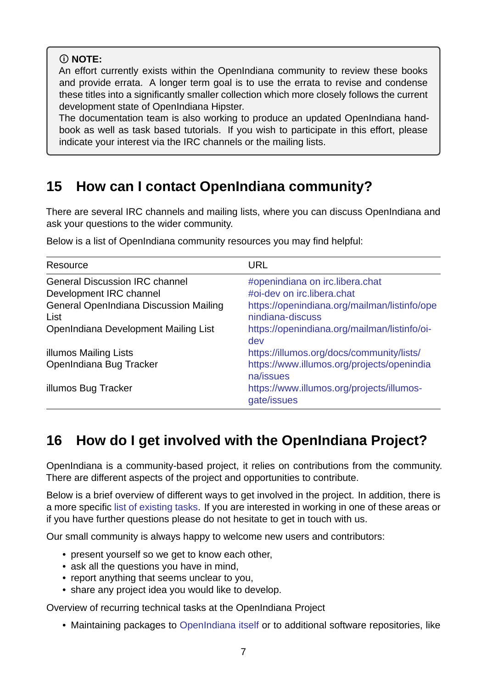### **NOTE:**

An effort currently exists within the OpenIndiana community to review these books and provide errata. A longer term goal is to use the errata to revise and condense these titles into a significantly smaller collection which more closely follows the current development state of OpenIndiana Hipster.

The documentation team is also working to produce an updated OpenIndiana handbook as well as task based tutorials. If you wish to participate in this effort, please indicate your interest via the IRC channels or the mailing lists.

### **15 How can I contact OpenIndiana community?**

<span id="page-6-2"></span><span id="page-6-0"></span>There are several IRC channels and mailing lists, where you can discuss OpenIndiana and ask your questions to the wider community.

| Resource                                                                                      | <b>URL</b>                                                                                                       |
|-----------------------------------------------------------------------------------------------|------------------------------------------------------------------------------------------------------------------|
| <b>General Discussion IRC channel</b><br>Development IRC channel                              | #openindiana on irc.libera.chat<br>#oi-dev on irc.libera.chat                                                    |
| <b>General OpenIndiana Discussion Mailing</b><br>List<br>OpenIndiana Development Mailing List | https://openindiana.org/mailman/listinfo/ope<br>nindiana-discuss<br>https://openindiana.org/mailman/listinfo/oi- |
| <b>illumos Mailing Lists</b><br>OpenIndiana Bug Tracker                                       | dev<br>https://illumos.org/docs/community/lists/<br>https://www.illumos.org/projects/openindia                   |
| illumos Bug Tracker                                                                           | na/issues<br>https://www.illumos.org/projects/illumos-<br>gate/issues                                            |

Below is a list of OpenIndiana community resources you may find helpful:

### **16 How do I get involved wit[h the OpenIndiana Project?](https://www.illumos.org/projects/illumos-gate/issues)**

<span id="page-6-1"></span>OpenIndiana is a community-based project, it relies on contributions from the community. There are different aspects of the project and opportunities to contribute.

Below is a brief overview of different ways to get involved in the project. In addition, there is a more specific list of existing tasks. If you are interested in working in one of these areas or if you have further questions please do not hesitate to get in touch with us.

Our small community is always happy to welcome new users and contributors:

- present y[ourself so we get to](../dev/existing-tasks.md) know each other,
- ask all the questions you have in mind,
- report anything that seems unclear to you,
- share any project idea you would like to develop.

Overview of recurring technical tasks at the OpenIndiana Project

• Maintaining packages to OpenIndiana itself or to additional software repositories, like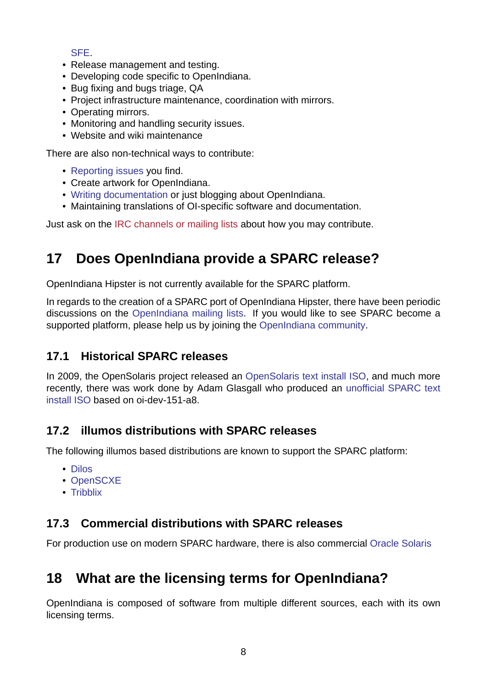#### SFE.

- Release management and testing.
- Developing code specific to OpenIndiana.
- [Bug](http://sfe.opencsw.org/) fixing and bugs triage, QA
- Project infrastructure maintenance, coordination with mirrors.
- Operating mirrors.
- Monitoring and handling security issues.
- Website and wiki maintenance

There are also non-technical ways to contribute:

- Reporting issues you find.
- Create artwork for OpenIndiana.
- Writing documentation or just blogging about OpenIndiana.
- [Maintaining trans](https://www.illumos.org/projects/openindiana/issues)lations of OI-specific software and documentation.

Just ask on the IRC channels or mailing lists about how you may contribute.

# **17 Does [OpenIndiana provi](#page-6-2)de a SPARC release?**

<span id="page-7-0"></span>OpenIndiana Hipster is not currently available for the SPARC platform.

In regards to the creation of a SPARC port of OpenIndiana Hipster, there have been periodic discussions on the OpenIndiana mailing lists. If you would like to see SPARC become a supported platform, please help us by joining the OpenIndiana community.

### **17.1 Historica[l SPARC releases](https://openindiana.org/mailman/listinfo)**

<span id="page-7-1"></span>In 2009, the OpenSolaris project released an OpenSolaris text install ISO, and much more recently, there was work done by Adam Glasgall who produced an unofficial SPARC text install ISO based on oi-dev-151-a8.

### **[17.2 illu](http://neutron-star.mit.edu/OpenIndiana_Text_SPARC.iso)mos distributions with SPARC releases**

<span id="page-7-2"></span>The following illumos based distributions are known to support the SPARC platform:

- Dilos
- OpenSCXE
- Tribblix

### **17.3 [Comme](http://opensxce.org)rcial distributions with SPARC releases**

<span id="page-7-3"></span>For production use on modern SPARC hardware, there is also commercial Oracle Solaris

# **18 What are the licensing terms for OpenIndia[na?](https://www.oracle.com/solaris/solaris11/index.html)**

OpenIndiana is composed of software from multiple different sources, each with its own licensing terms.